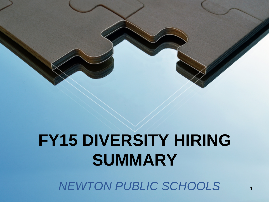# **FY15 DIVERSITY HIRING SUMMARY**

**NEWTON PUBLIC SCHOOLS**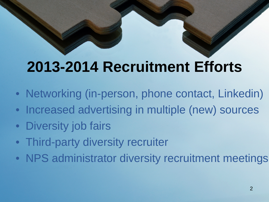# **2013-2014 Recruitment Efforts**

- Networking (in-person, phone contact, Linkedin)
- Increased advertising in multiple (new) sources
- Diversity job fairs
- Third-party diversity recruiter
- NPS administrator diversity recruitment meetings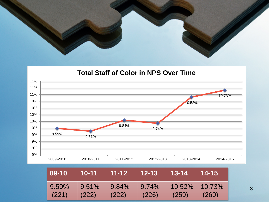

#### **Total Staff of Color in NPS Over Time**



| $ 09-10 $         | $10-11$ | L_11-12 | l 12-13 i                                        | -- 13-14 -    | $14 - 15$ |
|-------------------|---------|---------|--------------------------------------------------|---------------|-----------|
| $9.59\%$<br>(221) | (222)   | (222)   | $\vert$ 9.51% 9.84% 9.74% 10.52% 10.73%<br>(226) | $\vert$ (259) | (269)     |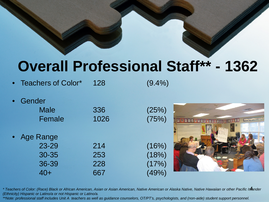## **Overall Professional Staff\*\* - 1362**

- Teachers of Color\* 128 (9.4%)
- **Gender** Male 336 (25%) Female 1026 (75%) **Age Range** 23-29 214 (16%) 30-35 253 (18%) 36-39 228 (17%) 40+ 667 (49%)

*\* Teachers of Color: (Race) Black or African American, Asian or Asian American, Native American or Alaska Native, Native Hawaiian or other Pacific Islander* 4 *(Ethnicity) Hispanic or Latino/a or not Hispanic or Latino/a.* 

*\*\*Note: professional staff includes Unit A teachers as well as guidance counselors, OT/PT's, psychologists, and (non-aide) student support personnel.*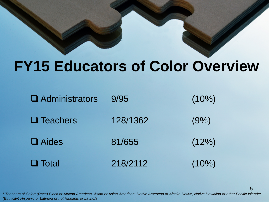## **FY15 Educators of Color Overview**

| $\Box$ Administrators | 9/95     | $(10\%)$ |
|-----------------------|----------|----------|
| $\Box$ Teachers       | 128/1362 | (9% )    |
| $\Box$ Aides          | 81/655   | (12%)    |
| $\Box$ Total          | 218/2112 | $(10\%)$ |

*\* Teachers of Color: (Race) Black or African American, Asian or Asian American, Native American or Alaska Native, Native Hawaiian or other Pacific Islander (Ethnicity) Hispanic or Latino/a or not Hispanic or Latino/a*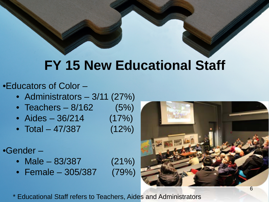## **FY 15 New Educational Staff**

#### •Educators of Color –

- Administrators 3/11 (27%)
- Teachers  $8/162$  (5%)
- Aides  $36/214$  (17%)
- Total 47/387 (12%)
- •Gender
	- Male 83/387 (21%)
	- Female 305/387 (79%)

\* Educational Staff refers to Teachers, Aides and Administrators

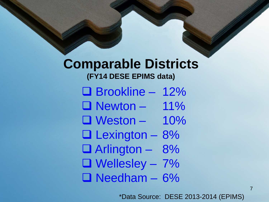### **Comparable Districts (FY14 DESE EPIMS data)**

- Brookline 12% **Newton – 11%**  $\Box$  Weston – 10%
- $\Box$  Lexington 8%
- Arlington 8%
- $\Box$  Wellesley 7%
- Needham 6%

\*Data Source: DESE 2013-2014 (EPIMS)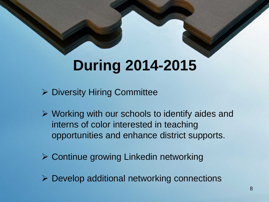## **During 2014-2015**

- ▶ Diversity Hiring Committee
- $\triangleright$  Working with our schools to identify aides and interns of color interested in teaching opportunities and enhance district supports.
- **≻ Continue growing Linkedin networking**
- $\triangleright$  Develop additional networking connections